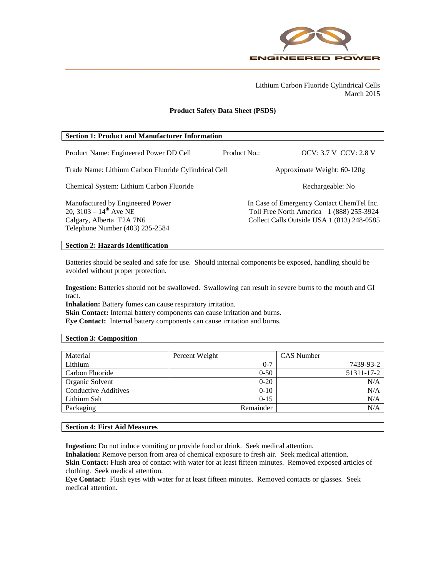

Lithium Carbon Fluoride Cylindrical Cells March 2015

### **Product Safety Data Sheet (PSDS)**

| <b>Section 1: Product and Manufacturer Information</b>                                                                         |              |                                                                                                                                     |  |
|--------------------------------------------------------------------------------------------------------------------------------|--------------|-------------------------------------------------------------------------------------------------------------------------------------|--|
| Product Name: Engineered Power DD Cell                                                                                         | Product No.: | <b>OCV: 3.7 V CCV: 2.8 V</b>                                                                                                        |  |
| Trade Name: Lithium Carbon Fluoride Cylindrical Cell                                                                           |              | Approximate Weight: $60-120g$                                                                                                       |  |
| Chemical System: Lithium Carbon Fluoride                                                                                       |              | Rechargeable: No                                                                                                                    |  |
| Manufactured by Engineered Power<br>20, 3103 – $14^{th}$ Ave NE<br>Calgary, Alberta T2A 7N6<br>Telephone Number (403) 235-2584 |              | In Case of Emergency Contact ChemTel Inc.<br>Toll Free North America 1 (888) 255-3924<br>Collect Calls Outside USA 1 (813) 248-0585 |  |

# **Section 2: Hazards Identification**

Batteries should be sealed and safe for use. Should internal components be exposed, handling should be avoided without proper protection.

**Ingestion:** Batteries should not be swallowed. Swallowing can result in severe burns to the mouth and GI tract.

**Inhalation:** Battery fumes can cause respiratory irritation.

**Skin Contact:** Internal battery components can cause irritation and burns.

**Eye Contact:** Internal battery components can cause irritation and burns.

### **Section 3: Composition**

| Material             | Percent Weight | <b>CAS</b> Number |
|----------------------|----------------|-------------------|
| Lithium              | $0 - 7$        | 7439-93-2         |
| Carbon Fluoride      | $0 - 50$       | 51311-17-2        |
| Organic Solvent      | $0 - 20$       | N/A               |
| Conductive Additives | $0-10$         | N/A               |
| Lithium Salt         | $0-15$         | N/A               |
| Packaging            | Remainder      | N/A               |

## **Section 4: First Aid Measures**

**Ingestion:** Do not induce vomiting or provide food or drink. Seek medical attention.

**Inhalation:** Remove person from area of chemical exposure to fresh air. Seek medical attention. Skin Contact: Flush area of contact with water for at least fifteen minutes. Removed exposed articles of clothing. Seek medical attention.

**Eye Contact:** Flush eyes with water for at least fifteen minutes. Removed contacts or glasses. Seek medical attention.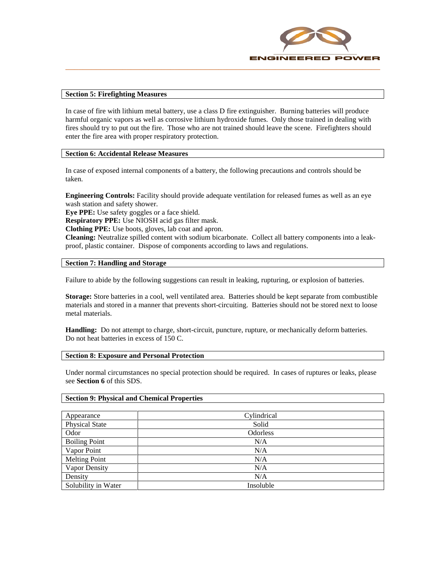

### **Section 5: Firefighting Measures**

In case of fire with lithium metal battery, use a class D fire extinguisher. Burning batteries will produce harmful organic vapors as well as corrosive lithium hydroxide fumes. Only those trained in dealing with fires should try to put out the fire. Those who are not trained should leave the scene. Firefighters should enter the fire area with proper respiratory protection.

## **Section 6: Accidental Release Measures**

In case of exposed internal components of a battery, the following precautions and controls should be taken.

**Engineering Controls:** Facility should provide adequate ventilation for released fumes as well as an eye wash station and safety shower.

**Eye PPE:** Use safety goggles or a face shield.

**Respiratory PPE:** Use NIOSH acid gas filter mask.

**Clothing PPE:** Use boots, gloves, lab coat and apron.

**Cleaning:** Neutralize spilled content with sodium bicarbonate. Collect all battery components into a leakproof, plastic container. Dispose of components according to laws and regulations.

### **Section 7: Handling and Storage**

Failure to abide by the following suggestions can result in leaking, rupturing, or explosion of batteries.

**Storage:** Store batteries in a cool, well ventilated area. Batteries should be kept separate from combustible materials and stored in a manner that prevents short-circuiting. Batteries should not be stored next to loose metal materials.

**Handling:** Do not attempt to charge, short-circuit, puncture, rupture, or mechanically deform batteries. Do not heat batteries in excess of 150 C.

### **Section 8: Exposure and Personal Protection**

Under normal circumstances no special protection should be required. In cases of ruptures or leaks, please see **Section 6** of this SDS.

### **Section 9: Physical and Chemical Properties**

| Appearance            | Cylindrical     |
|-----------------------|-----------------|
| <b>Physical State</b> | Solid           |
| Odor                  | <b>Odorless</b> |
| <b>Boiling Point</b>  | N/A             |
| Vapor Point           | N/A             |
| <b>Melting Point</b>  | N/A             |
| Vapor Density         | N/A             |
| Density               | N/A             |
| Solubility in Water   | Insoluble       |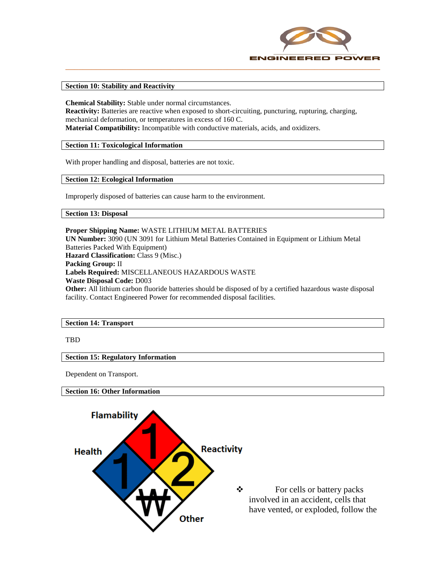

### **Section 10: Stability and Reactivity**

**Chemical Stability:** Stable under normal circumstances. **Reactivity:** Batteries are reactive when exposed to short-circuiting, puncturing, rupturing, charging, mechanical deformation, or temperatures in excess of 160 C. **Material Compatibility:** Incompatible with conductive materials, acids, and oxidizers.

**Section 11: Toxicological Information**

With proper handling and disposal, batteries are not toxic.

**Section 12: Ecological Information**

Improperly disposed of batteries can cause harm to the environment.

**Section 13: Disposal**

**Proper Shipping Name:** WASTE LITHIUM METAL BATTERIES **UN Number:** 3090 (UN 3091 for Lithium Metal Batteries Contained in Equipment or Lithium Metal Batteries Packed With Equipment) **Hazard Classification:** Class 9 (Misc.) **Packing Group:** II **Labels Required:** MISCELLANEOUS HAZARDOUS WASTE **Waste Disposal Code:** D003 **Other:** All lithium carbon fluoride batteries should be disposed of by a certified hazardous waste disposal facility. Contact Engineered Power for recommended disposal facilities.

**Section 14: Transport** 

TBD

**Section 15: Regulatory Information**

Dependent on Transport.

**Section 16: Other Information**



 For cells or battery packs involved in an accident, cells that have vented, or exploded, follow the